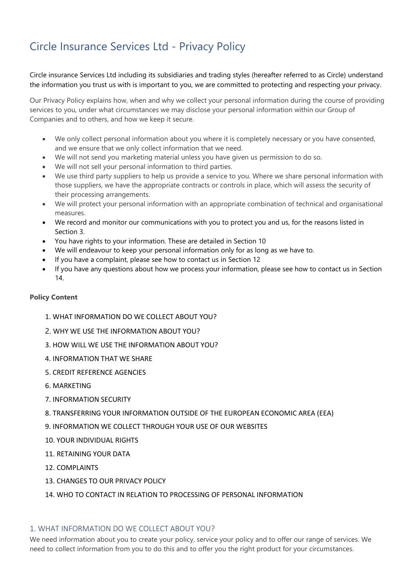# Circle Insurance Services Ltd - Privacy Policy

Circle insurance Services Ltd including its subsidiaries and trading styles (hereafter referred to as Circle) understand the information you trust us with is important to you, we are committed to protecting and respecting your privacy.

Our Privacy Policy explains how, when and why we collect your personal information during the course of providing services to you, under what circumstances we may disclose your personal information within our Group of Companies and to others, and how we keep it secure.

- We only collect personal information about you where it is completely necessary or you have consented, and we ensure that we only collect information that we need.
- We will not send you marketing material unless you have given us permission to do so.
- We will not sell your personal information to third parties.
- We use third party suppliers to help us provide a service to you. Where we share personal information with those suppliers, we have the appropriate contracts or controls in place, which will assess the security of their processing arrangements.
- We will protect your personal information with an appropriate combination of technical and organisational measures.
- We record and monitor our communications with you to protect you and us, for the reasons listed in Section 3.
- You have rights to your information. These are detailed in Section 10
- We will endeavour to keep your personal information only for as long as we have to.
- If you have a complaint, please see how to contact us in Section 12
- If you have any questions about how we process your information, please see how to contact us in Section 14.

## **Policy Content**

- [1. WHAT INFORMATION DO WE COLLECT ABOUT YOU?](#page-0-0)
- 2. [WHY WE USE THE INFORMATION ABOUT YOU?](#page-2-0)
- [3. HOW WILL WE USE THE INFORMATION ABOUT YOU?](#page-2-1)
- [4. INFORMATION THAT WE SHARE](#page-2-2)
- [5. CREDIT REFERENCE AGENCIES](#page-4-0)
- [6. MARKETING](#page-4-1)
- [7. INFORMATION SECURITY](#page-4-2)
- [8. TRANSFERRING YOUR INFORMATION OUTSIDE OF THE EUROPEAN ECONOMIC AREA \(EEA\)](#page-4-3)
- [9. INFORMATION WE COLLECT THROUGH YOUR USE OF OUR WEBSITES](#page-4-4)
- [10. YOUR INDIVIDUAL RIGHTS](#page-4-5)
- [11. RETAINING YOUR DATA](#page-5-0)
- [12. COMPLAINTS](#page-5-1)
- [13. CHANGES TO OUR PRIVACY POLICY](#page-5-2)
- [14. WHO TO CONTACT IN RELATION TO PROCESSING OF](#page-5-3) PERSONAL INFORMATION

## <span id="page-0-0"></span>1. WHAT INFORMATION DO WE COLLECT ABOUT YOU?

We need information about you to create your policy, service your policy and to offer our range of services. We need to collect information from you to do this and to offer you the right product for your circumstances.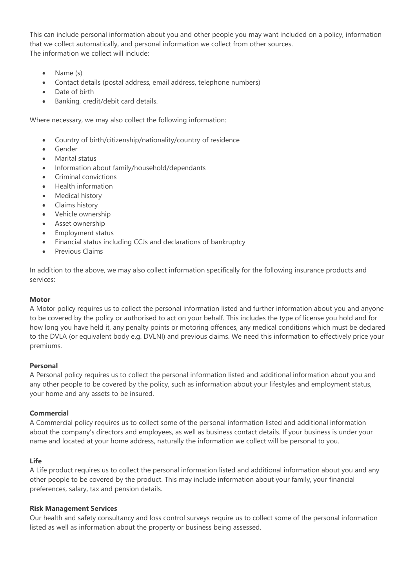This can include personal information about you and other people you may want included on a policy, information that we collect automatically, and personal information we collect from other sources. The information we collect will include:

- Name (s)
- Contact details (postal address, email address, telephone numbers)
- Date of birth
- Banking, credit/debit card details.

Where necessary, we may also collect the following information:

- Country of birth/citizenship/nationality/country of residence
- **Gender**
- Marital status
- Information about family/household/dependants
- Criminal convictions
- Health information
- Medical history
- Claims history
- Vehicle ownership
- Asset ownership
- Employment status
- Financial status including CCJs and declarations of bankruptcy
- Previous Claims

In addition to the above, we may also collect information specifically for the following insurance products and services:

#### **Motor**

A Motor policy requires us to collect the personal information listed and further information about you and anyone to be covered by the policy or authorised to act on your behalf. This includes the type of license you hold and for how long you have held it, any penalty points or motoring offences, any medical conditions which must be declared to the DVLA (or equivalent body e.g. DVLNI) and previous claims. We need this information to effectively price your premiums.

#### **Personal**

A Personal policy requires us to collect the personal information listed and additional information about you and any other people to be covered by the policy, such as information about your lifestyles and employment status, your home and any assets to be insured.

#### **Commercial**

A Commercial policy requires us to collect some of the personal information listed and additional information about the company's directors and employees, as well as business contact details. If your business is under your name and located at your home address, naturally the information we collect will be personal to you.

#### **Life**

A Life product requires us to collect the personal information listed and additional information about you and any other people to be covered by the product. This may include information about your family, your financial preferences, salary, tax and pension details.

#### **Risk Management Services**

Our health and safety consultancy and loss control surveys require us to collect some of the personal information listed as well as information about the property or business being assessed.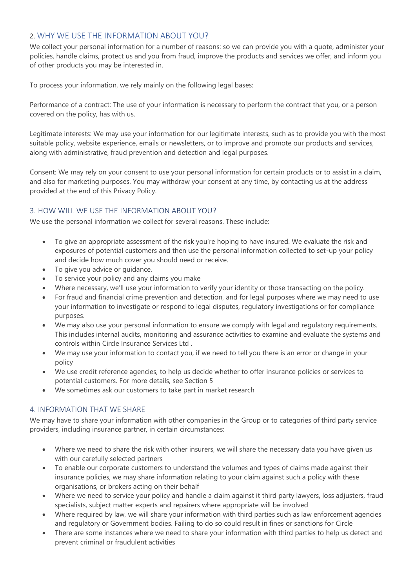# <span id="page-2-0"></span>2. WHY WE USE THE INFORMATION ABOUT YOU?

We collect your personal information for a number of reasons: so we can provide you with a quote, administer your policies, handle claims, protect us and you from fraud, improve the products and services we offer, and inform you of other products you may be interested in.

To process your information, we rely mainly on the following legal bases:

Performance of a contract: The use of your information is necessary to perform the contract that you, or a person covered on the policy, has with us.

Legitimate interests: We may use your information for our legitimate interests, such as to provide you with the most suitable policy, website experience, emails or newsletters, or to improve and promote our products and services, along with administrative, fraud prevention and detection and legal purposes.

Consent: We may rely on your consent to use your personal information for certain products or to assist in a claim, and also for marketing purposes. You may withdraw your consent at any time, by contacting us at the address provided at the end of this Privacy Policy.

## <span id="page-2-1"></span>3. HOW WILL WE USE THE INFORMATION ABOUT YOU?

We use the personal information we collect for several reasons. These include:

- To give an appropriate assessment of the risk you're hoping to have insured. We evaluate the risk and exposures of potential customers and then use the personal information collected to set-up your policy and decide how much cover you should need or receive.
- To give you advice or guidance.
- To service your policy and any claims you make
- Where necessary, we'll use your information to verify your identity or those transacting on the policy.
- For fraud and financial crime prevention and detection, and for legal purposes where we may need to use your information to investigate or respond to legal disputes, regulatory investigations or for compliance purposes.
- We may also use your personal information to ensure we comply with legal and regulatory requirements. This includes internal audits, monitoring and assurance activities to examine and evaluate the systems and controls within Circle Insurance Services Ltd .
- We may use your information to contact you, if we need to tell you there is an error or change in your policy
- We use credit reference agencies, to help us decide whether to offer insurance policies or services to potential customers. For more details, see Section 5
- We sometimes ask our customers to take part in market research

## <span id="page-2-2"></span>4. INFORMATION THAT WE SHARE

We may have to share your information with other companies in the Group or to categories of third party service providers, including insurance partner, in certain circumstances:

- Where we need to share the risk with other insurers, we will share the necessary data you have given us with our carefully selected partners
- To enable our corporate customers to understand the volumes and types of claims made against their insurance policies, we may share information relating to your claim against such a policy with these organisations, or brokers acting on their behalf
- Where we need to service your policy and handle a claim against it third party lawyers, loss adjusters, fraud specialists, subject matter experts and repairers where appropriate will be involved
- Where required by law, we will share your information with third parties such as law enforcement agencies and regulatory or Government bodies. Failing to do so could result in fines or sanctions for Circle
- There are some instances where we need to share your information with third parties to help us detect and prevent criminal or fraudulent activities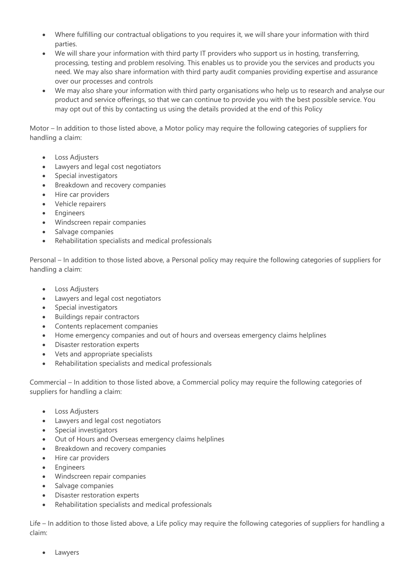- Where fulfilling our contractual obligations to you requires it, we will share your information with third parties.
- We will share your information with third party IT providers who support us in hosting, transferring, processing, testing and problem resolving. This enables us to provide you the services and products you need. We may also share information with third party audit companies providing expertise and assurance over our processes and controls
- We may also share your information with third party organisations who help us to research and analyse our product and service offerings, so that we can continue to provide you with the best possible service. You may opt out of this by contacting us using the details provided at the end of this Policy

Motor – In addition to those listed above, a Motor policy may require the following categories of suppliers for handling a claim:

- Loss Adjusters
- Lawyers and legal cost negotiators
- Special investigators
- Breakdown and recovery companies
- Hire car providers
- Vehicle repairers
- **Engineers**
- Windscreen repair companies
- Salvage companies
- Rehabilitation specialists and medical professionals

Personal – In addition to those listed above, a Personal policy may require the following categories of suppliers for handling a claim:

- Loss Adjusters
- Lawyers and legal cost negotiators
- Special investigators
- Buildings repair contractors
- Contents replacement companies
- Home emergency companies and out of hours and overseas emergency claims helplines
- Disaster restoration experts
- Vets and appropriate specialists
- Rehabilitation specialists and medical professionals

Commercial – In addition to those listed above, a Commercial policy may require the following categories of suppliers for handling a claim:

- Loss Adiusters
- Lawyers and legal cost negotiators
- Special investigators
- Out of Hours and Overseas emergency claims helplines
- Breakdown and recovery companies
- Hire car providers
- Engineers
- Windscreen repair companies
- Salvage companies
- Disaster restoration experts
- Rehabilitation specialists and medical professionals

Life – In addition to those listed above, a Life policy may require the following categories of suppliers for handling a claim:

**Lawyers**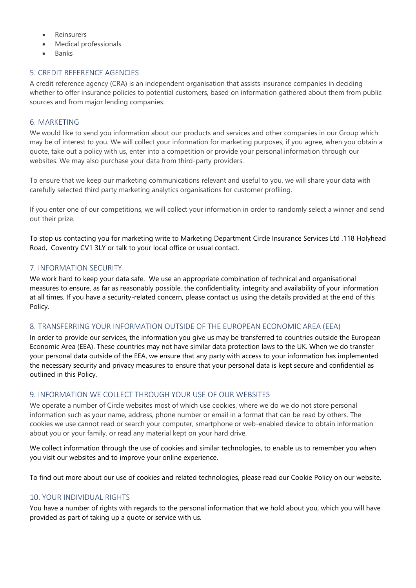- **Reinsurers**
- Medical professionals
- Banks

## <span id="page-4-0"></span>5. CREDIT REFERENCE AGENCIES

A credit reference agency (CRA) is an independent organisation that assists insurance companies in deciding whether to offer insurance policies to potential customers, based on information gathered about them from public sources and from major lending companies.

## <span id="page-4-1"></span>6. MARKETING

We would like to send you information about our products and services and other companies in our Group which may be of interest to you. We will collect your information for marketing purposes, if you agree, when you obtain a quote, take out a policy with us, enter into a competition or provide your personal information through our websites. We may also purchase your data from third-party providers.

To ensure that we keep our marketing communications relevant and useful to you, we will share your data with carefully selected third party marketing analytics organisations for customer profiling.

If you enter one of our competitions, we will collect your information in order to randomly select a winner and send out their prize.

To stop us contacting you for marketing write to Marketing Department Circle Insurance Services Ltd ,118 Holyhead Road, Coventry CV1 3LY or talk to your local office or usual contact.

#### <span id="page-4-2"></span>7. INFORMATION SECURITY

We work hard to keep your data safe. We use an appropriate combination of technical and organisational measures to ensure, as far as reasonably possible, the confidentiality, integrity and availability of your information at all times. If you have a security-related concern, please contact us using the details provided at the end of this Policy.

## <span id="page-4-3"></span>8. TRANSFERRING YOUR INFORMATION OUTSIDE OF THE EUROPEAN ECONOMIC AREA (EEA)

In order to provide our services, the information you give us may be transferred to countries outside the European Economic Area (EEA). These countries may not have similar data protection laws to the UK. When we do transfer your personal data outside of the EEA, we ensure that any party with access to your information has implemented the necessary security and privacy measures to ensure that your personal data is kept secure and confidential as outlined in this Policy.

## <span id="page-4-4"></span>9. INFORMATION WE COLLECT THROUGH YOUR USE OF OUR WEBSITES

We operate a number of Circle websites most of which use cookies, where we do we do not store personal information such as your name, address, phone number or email in a format that can be read by others. The cookies we use cannot read or search your computer, smartphone or web-enabled device to obtain information about you or your family, or read any material kept on your hard drive.

We collect information through the use of cookies and similar technologies, to enable us to remember you when you visit our websites and to improve your online experience.

To find out more about our use of cookies and related technologies, please read our Cookie Policy on our website.

## <span id="page-4-5"></span>10. YOUR INDIVIDUAL RIGHTS

You have a number of rights with regards to the personal information that we hold about you, which you will have provided as part of taking up a quote or service with us.